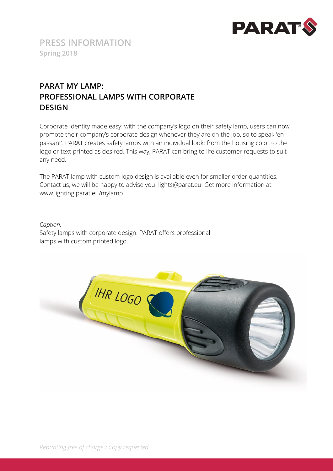

# **PARAT MY LAMP: PROFESSIONAL LAMPS WITH CORPORATE DESIGN**

Corporate Identity made easy: with the company's logo on their safety lamp, users can now promote their company's corporate design whenever they are on the job, so to speak 'en passant'. PARAT creates safety lamps with an individual look: from the housing color to the logo or text printed as desired. This way, PARAT can bring to life customer requests to suit any need.

The PARAT lamp with custom logo design is available even for smaller order quantities. Contact us, we will be happy to advise you: lights@parat.eu. Get more information at www.lighting.parat.eu/mylamp

#### *Caption:*

Safety lamps with corporate design: PARAT offers professional lamps with custom printed logo.